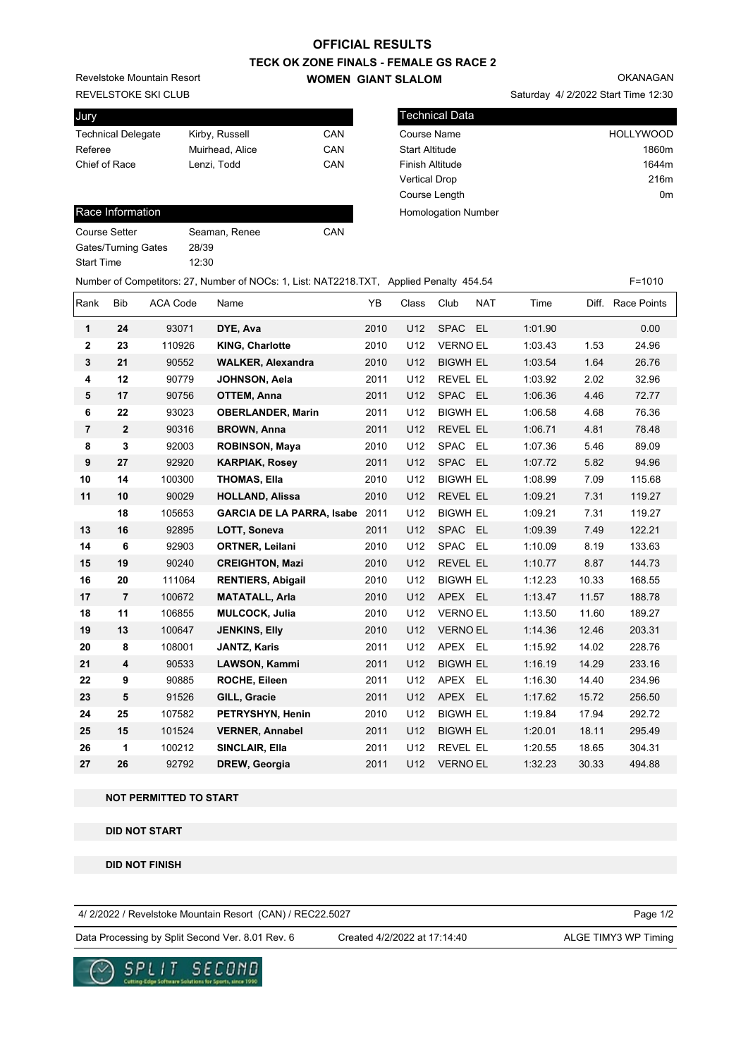# **OFFICIAL RESULTS**

## **TECK OK ZONE FINALS - FEMALE GS RACE 2 WOMEN GIANT SLALOM**

REVELSTOKE SKI CLUB Revelstoke Mountain Resort

| Jury                      |                 |     |
|---------------------------|-----------------|-----|
| <b>Technical Delegate</b> | Kirby, Russell  | CAN |
| Referee                   | Muirhead, Alice | CAN |
| Chief of Race             | Lenzi, Todd     | CAN |
|                           |                 |     |

## Race Information

| Course Setter       | Seaman, Renee | CAN |
|---------------------|---------------|-----|
| Gates/Turning Gates | 28/39         |     |
| Start Time          | 12:30         |     |
|                     |               |     |

| <b>Technical Data</b>  |                  |
|------------------------|------------------|
| Course Name            | <b>HOLLYWOOD</b> |
| <b>Start Altitude</b>  | 1860m            |
| <b>Finish Altitude</b> | 1644m            |
| <b>Vertical Drop</b>   | 216m             |
| Course Length          | 0 <sub>m</sub>   |

Homologation Number

|                |                |                 | Number of Competitors: 27, Number of NOCs: 1, List: NAT2218.TXT, Applied Penalty 454.54 |      |                 |                 |            |         |       | $F = 1010$  |
|----------------|----------------|-----------------|-----------------------------------------------------------------------------------------|------|-----------------|-----------------|------------|---------|-------|-------------|
| Rank           | <b>Bib</b>     | <b>ACA Code</b> | Name                                                                                    | YB   | Class           | Club            | <b>NAT</b> | Time    | Diff. | Race Points |
| 1              | 24             | 93071           | DYE, Ava                                                                                | 2010 | U12             | SPAC EL         |            | 1:01.90 |       | 0.00        |
| 2              | 23             | 110926          | <b>KING, Charlotte</b>                                                                  | 2010 | U12             | <b>VERNO EL</b> |            | 1:03.43 | 1.53  | 24.96       |
| 3              | 21             | 90552           | <b>WALKER, Alexandra</b>                                                                | 2010 | U12             | <b>BIGWH EL</b> |            | 1:03.54 | 1.64  | 26.76       |
| 4              | 12             | 90779           | JOHNSON, Aela                                                                           | 2011 | U12             | <b>REVEL EL</b> |            | 1:03.92 | 2.02  | 32.96       |
| 5              | 17             | 90756           | <b>OTTEM, Anna</b>                                                                      | 2011 | U12             | SPAC EL         |            | 1:06.36 | 4.46  | 72.77       |
| 6              | ${\bf 22}$     | 93023           | <b>OBERLANDER, Marin</b>                                                                | 2011 | U12             | <b>BIGWH EL</b> |            | 1:06.58 | 4.68  | 76.36       |
| $\overline{7}$ | $\overline{2}$ | 90316           | <b>BROWN, Anna</b>                                                                      | 2011 | U12             | REVEL EL        |            | 1:06.71 | 4.81  | 78.48       |
| 8              | 3              | 92003           | <b>ROBINSON, Maya</b>                                                                   | 2010 | U12             | SPAC EL         |            | 1:07.36 | 5.46  | 89.09       |
| 9              | 27             | 92920           | <b>KARPIAK, Rosey</b>                                                                   | 2011 | U12             | SPAC EL         |            | 1:07.72 | 5.82  | 94.96       |
| 10             | 14             | 100300          | <b>THOMAS, Ella</b>                                                                     | 2010 | U12             | <b>BIGWH EL</b> |            | 1:08.99 | 7.09  | 115.68      |
| 11             | 10             | 90029           | <b>HOLLAND, Alissa</b>                                                                  | 2010 | U12             | REVEL EL        |            | 1:09.21 | 7.31  | 119.27      |
|                | 18             | 105653          | <b>GARCIA DE LA PARRA, Isabe</b>                                                        | 2011 | U12             | <b>BIGWH EL</b> |            | 1:09.21 | 7.31  | 119.27      |
| 13             | 16             | 92895           | LOTT, Soneva                                                                            | 2011 | U12             | SPAC EL         |            | 1:09.39 | 7.49  | 122.21      |
| 14             | 6              | 92903           | ORTNER, Leilani                                                                         | 2010 | U12             | SPAC EL         |            | 1:10.09 | 8.19  | 133.63      |
| 15             | 19             | 90240           | <b>CREIGHTON, Mazi</b>                                                                  | 2010 | U12             | REVEL EL        |            | 1:10.77 | 8.87  | 144.73      |
| 16             | 20             | 111064          | <b>RENTIERS, Abigail</b>                                                                | 2010 | U12             | <b>BIGWH EL</b> |            | 1:12.23 | 10.33 | 168.55      |
| 17             | $\overline{7}$ | 100672          | <b>MATATALL, Arla</b>                                                                   | 2010 | U12             | APEX EL         |            | 1:13.47 | 11.57 | 188.78      |
| 18             | 11             | 106855          | <b>MULCOCK, Julia</b>                                                                   | 2010 | U12             | <b>VERNO EL</b> |            | 1:13.50 | 11.60 | 189.27      |
| 19             | 13             | 100647          | <b>JENKINS, Elly</b>                                                                    | 2010 | U12             | <b>VERNO EL</b> |            | 1:14.36 | 12.46 | 203.31      |
| 20             | 8              | 108001          | <b>JANTZ, Karis</b>                                                                     | 2011 | U12             | APEX EL         |            | 1:15.92 | 14.02 | 228.76      |
| 21             | 4              | 90533           | LAWSON, Kammi                                                                           | 2011 | U12             | <b>BIGWH EL</b> |            | 1:16.19 | 14.29 | 233.16      |
| 22             | 9              | 90885           | <b>ROCHE, Eileen</b>                                                                    | 2011 | U <sub>12</sub> | APEX EL         |            | 1:16.30 | 14.40 | 234.96      |
| 23             | 5              | 91526           | GILL, Gracie                                                                            | 2011 | U12             | APEX EL         |            | 1:17.62 | 15.72 | 256.50      |
| 24             | 25             | 107582          | PETRYSHYN, Henin                                                                        | 2010 | U12             | <b>BIGWH EL</b> |            | 1:19.84 | 17.94 | 292.72      |
| 25             | 15             | 101524          | <b>VERNER, Annabel</b>                                                                  | 2011 | U12             | <b>BIGWH EL</b> |            | 1:20.01 | 18.11 | 295.49      |
| 26             | 1              | 100212          | SINCLAIR, Ella                                                                          | 2011 | U12             | <b>REVEL EL</b> |            | 1:20.55 | 18.65 | 304.31      |
| 27             | 26             | 92792           | <b>DREW, Georgia</b>                                                                    | 2011 | U12             | <b>VERNO EL</b> |            | 1:32.23 | 30.33 | 494.88      |

### **NOT PERMITTED TO START**

 **DID NOT START**

 **DID NOT FINISH**

4/ 2/2022 / Revelstoke Mountain Resort (CAN) / REC22.5027

Data Processing by Split Second Ver. 8.01 Rev. 6 Created 4/2/2022 at 17:14:40 ALGE TIMY3 WP Timing

Created 4/2/2022 at 17:14:40

Page 1/2



OKANAGAN

Saturday 4/ 2/2022 Start Time 12:30